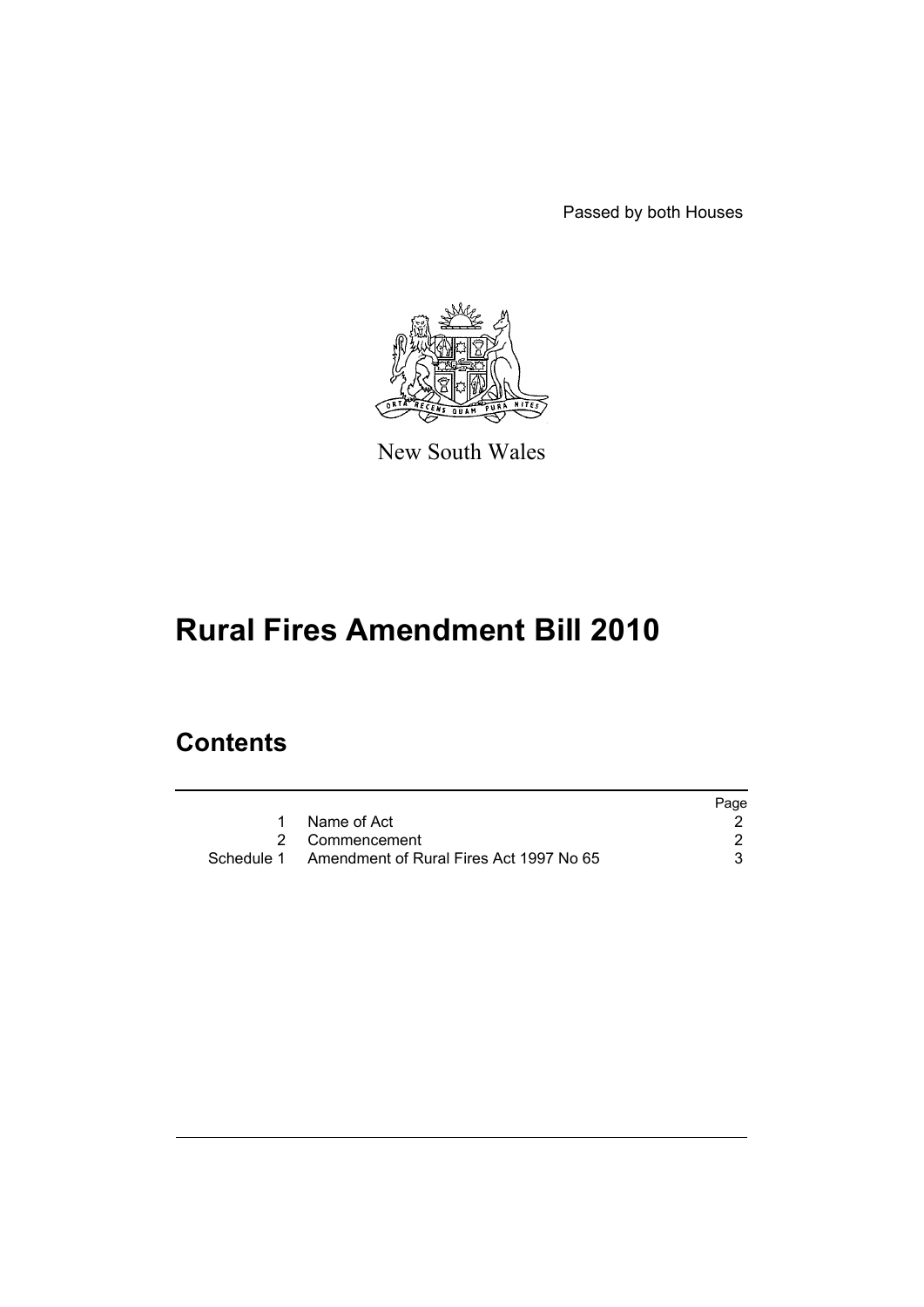Passed by both Houses



New South Wales

# **Rural Fires Amendment Bill 2010**

## **Contents**

|                                                    | Page |
|----------------------------------------------------|------|
| 1 Name of Act                                      |      |
| 2 Commencement                                     |      |
| Schedule 1 Amendment of Rural Fires Act 1997 No 65 |      |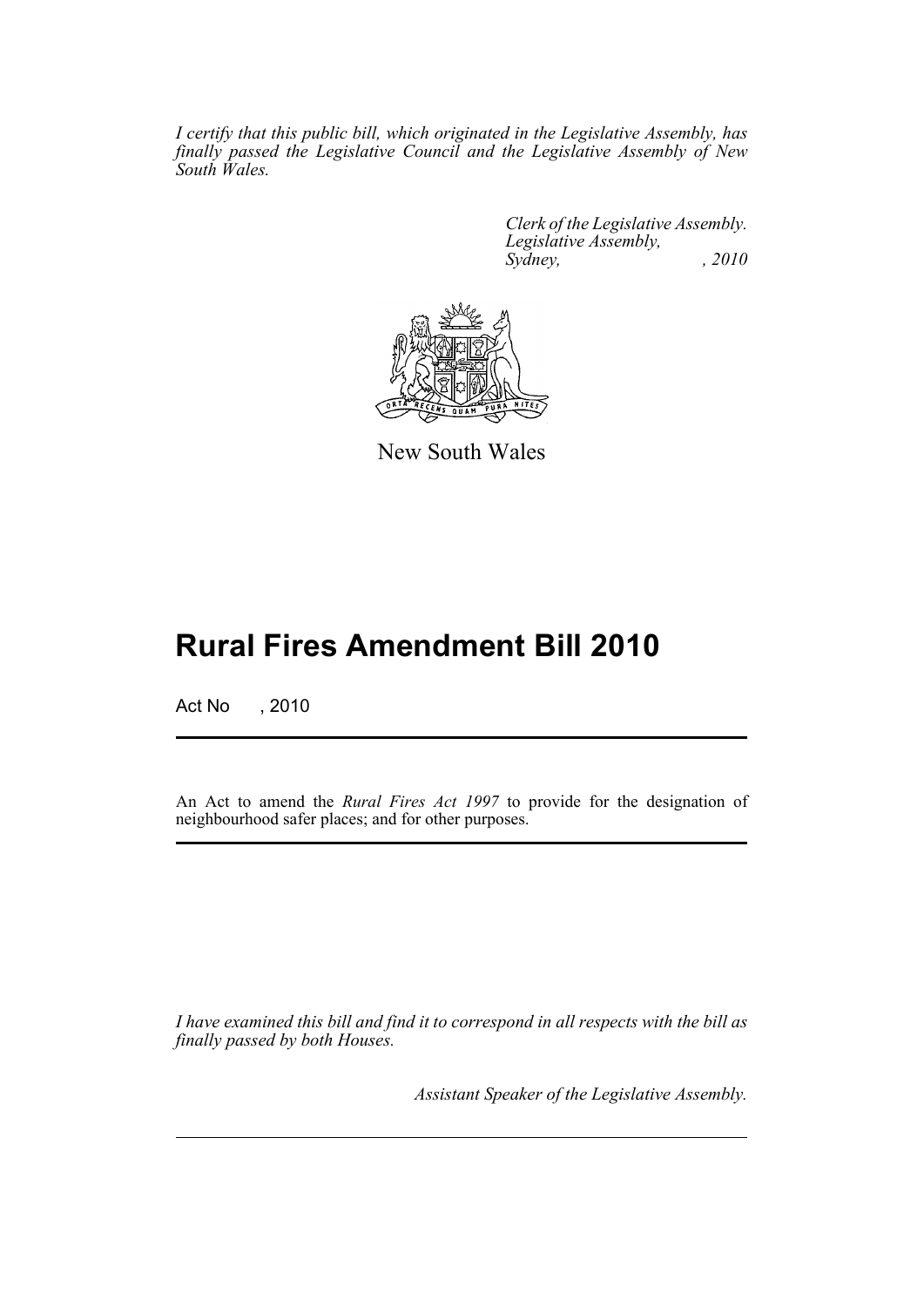*I certify that this public bill, which originated in the Legislative Assembly, has finally passed the Legislative Council and the Legislative Assembly of New South Wales.*

> *Clerk of the Legislative Assembly. Legislative Assembly, Sydney, , 2010*



New South Wales

## **Rural Fires Amendment Bill 2010**

Act No , 2010

An Act to amend the *Rural Fires Act 1997* to provide for the designation of neighbourhood safer places; and for other purposes.

*I have examined this bill and find it to correspond in all respects with the bill as finally passed by both Houses.*

*Assistant Speaker of the Legislative Assembly.*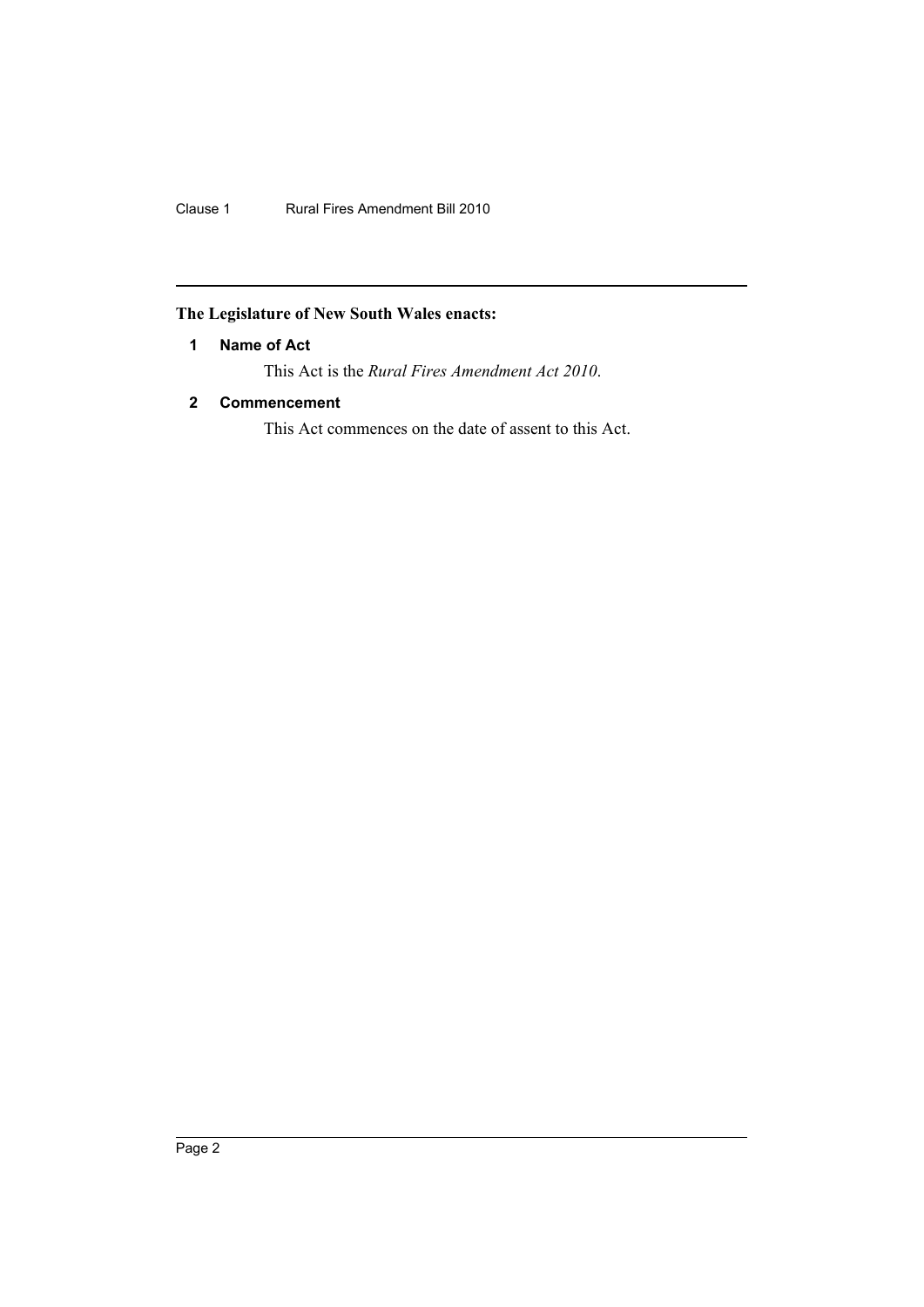Clause 1 Rural Fires Amendment Bill 2010

## <span id="page-3-0"></span>**The Legislature of New South Wales enacts:**

### **1 Name of Act**

This Act is the *Rural Fires Amendment Act 2010*.

## <span id="page-3-1"></span>**2 Commencement**

This Act commences on the date of assent to this Act.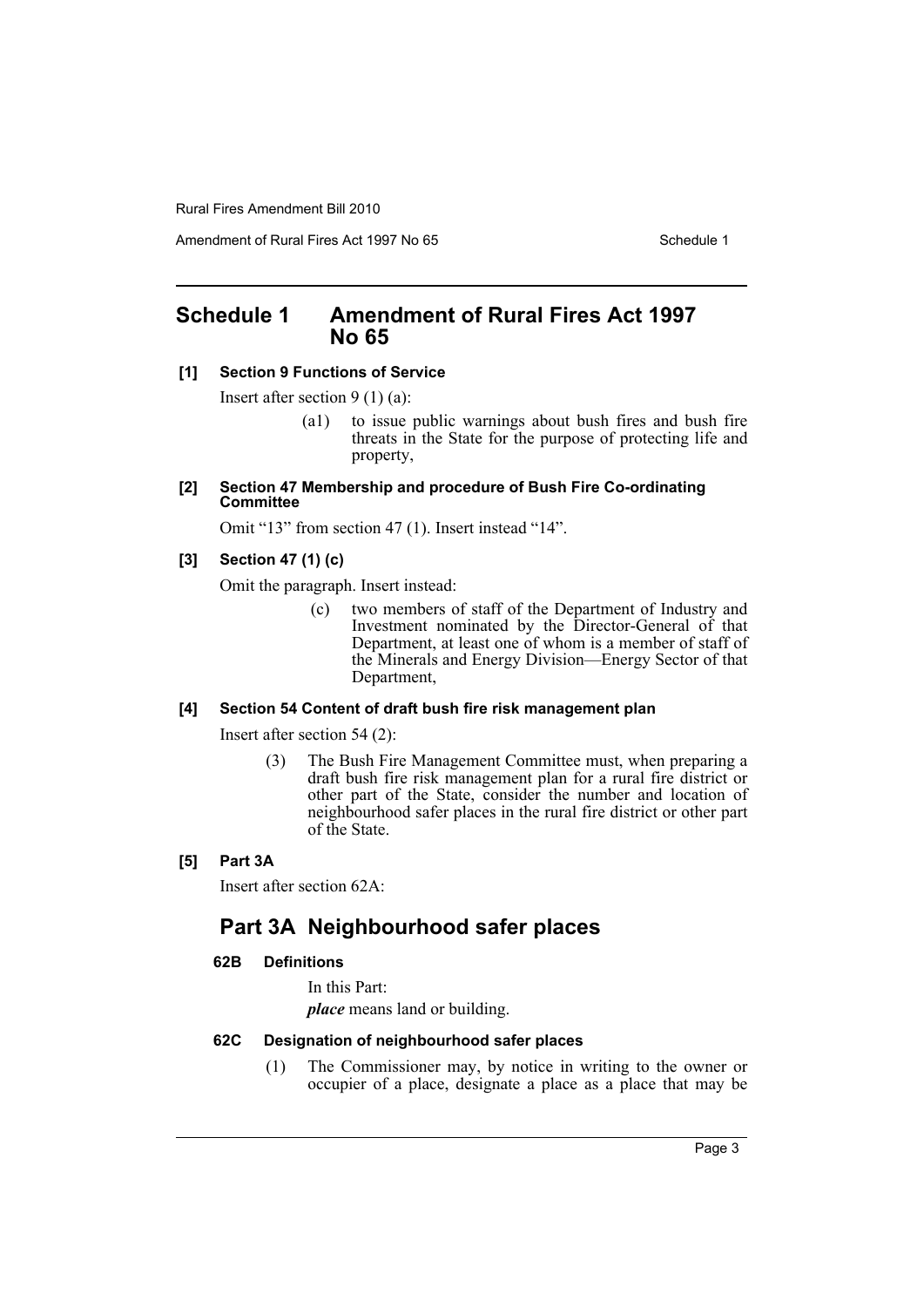Amendment of Rural Fires Act 1997 No 65 Schedule 1

## <span id="page-4-0"></span>**Schedule 1 Amendment of Rural Fires Act 1997 No 65**

#### **[1] Section 9 Functions of Service**

Insert after section 9 (1) (a):

- (a1) to issue public warnings about bush fires and bush fire threats in the State for the purpose of protecting life and property,
- **[2] Section 47 Membership and procedure of Bush Fire Co-ordinating Committee**

Omit "13" from section 47 (1). Insert instead "14".

#### **[3] Section 47 (1) (c)**

Omit the paragraph. Insert instead:

(c) two members of staff of the Department of Industry and Investment nominated by the Director-General of that Department, at least one of whom is a member of staff of the Minerals and Energy Division—Energy Sector of that Department,

#### **[4] Section 54 Content of draft bush fire risk management plan**

Insert after section 54 (2):

(3) The Bush Fire Management Committee must, when preparing a draft bush fire risk management plan for a rural fire district or other part of the State, consider the number and location of neighbourhood safer places in the rural fire district or other part of the State.

#### **[5] Part 3A**

Insert after section 62A:

## **Part 3A Neighbourhood safer places**

#### **62B Definitions**

In this Part:

*place* means land or building.

#### **62C Designation of neighbourhood safer places**

(1) The Commissioner may, by notice in writing to the owner or occupier of a place, designate a place as a place that may be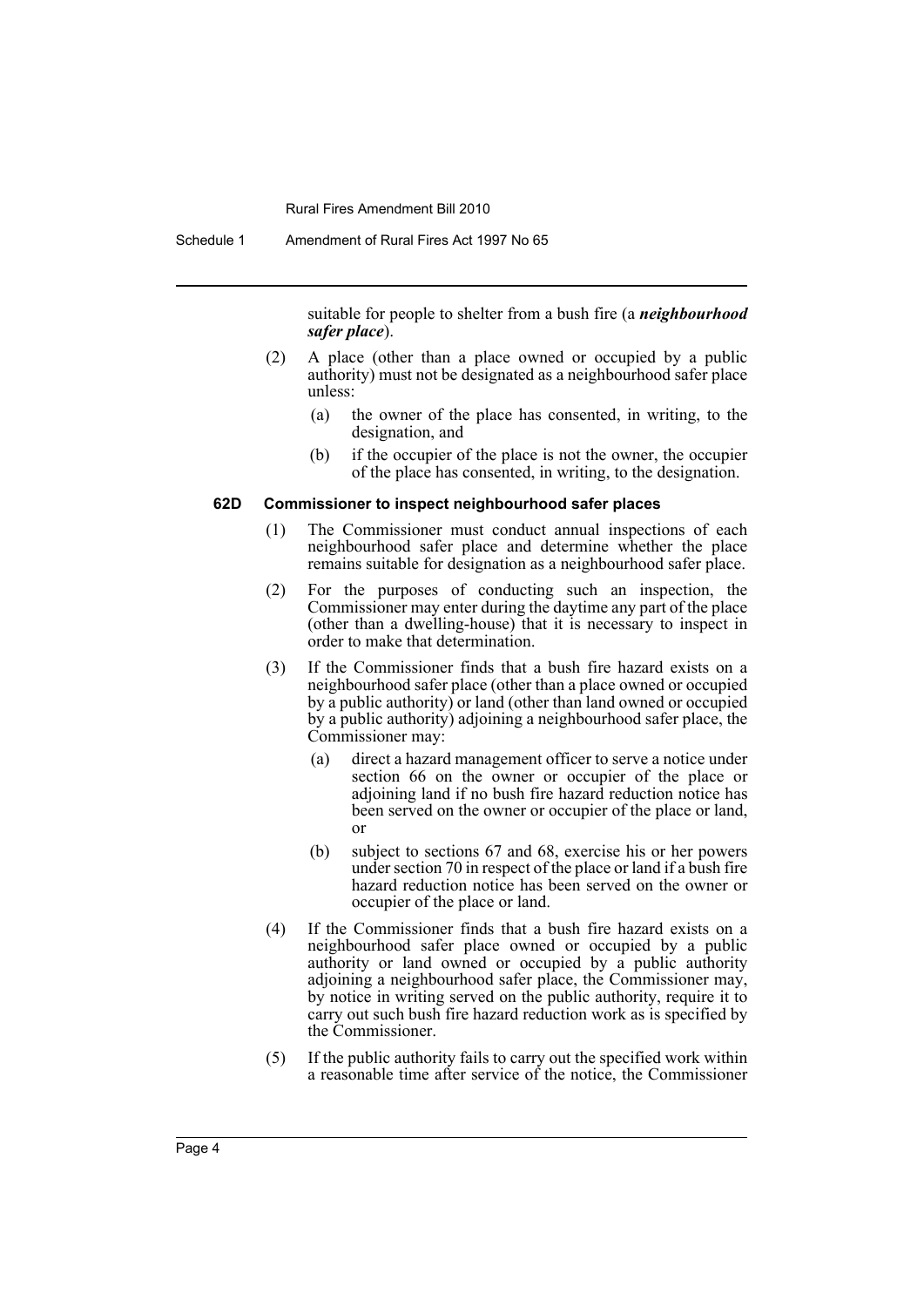suitable for people to shelter from a bush fire (a *neighbourhood safer place*).

- (2) A place (other than a place owned or occupied by a public authority) must not be designated as a neighbourhood safer place unless:
	- (a) the owner of the place has consented, in writing, to the designation, and
	- (b) if the occupier of the place is not the owner, the occupier of the place has consented, in writing, to the designation.

#### **62D Commissioner to inspect neighbourhood safer places**

- (1) The Commissioner must conduct annual inspections of each neighbourhood safer place and determine whether the place remains suitable for designation as a neighbourhood safer place.
- (2) For the purposes of conducting such an inspection, the Commissioner may enter during the daytime any part of the place (other than a dwelling-house) that it is necessary to inspect in order to make that determination.
- (3) If the Commissioner finds that a bush fire hazard exists on a neighbourhood safer place (other than a place owned or occupied by a public authority) or land (other than land owned or occupied by a public authority) adjoining a neighbourhood safer place, the Commissioner may:
	- (a) direct a hazard management officer to serve a notice under section 66 on the owner or occupier of the place or adjoining land if no bush fire hazard reduction notice has been served on the owner or occupier of the place or land, or
	- (b) subject to sections 67 and 68, exercise his or her powers under section 70 in respect of the place or land if a bush fire hazard reduction notice has been served on the owner or occupier of the place or land.
- (4) If the Commissioner finds that a bush fire hazard exists on a neighbourhood safer place owned or occupied by a public authority or land owned or occupied by a public authority adjoining a neighbourhood safer place, the Commissioner may, by notice in writing served on the public authority, require it to carry out such bush fire hazard reduction work as is specified by the Commissioner.
- (5) If the public authority fails to carry out the specified work within a reasonable time after service of the notice, the Commissioner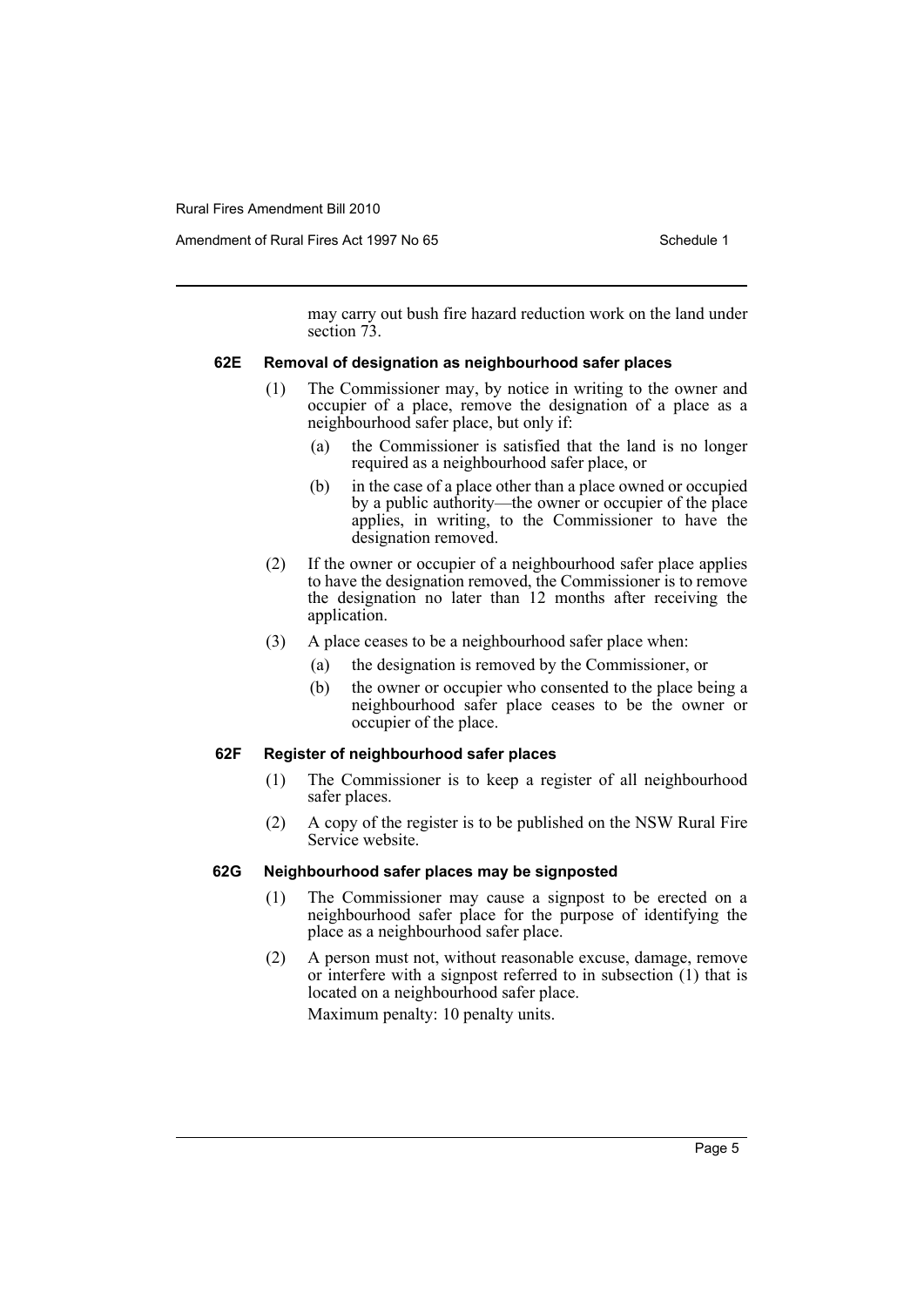Amendment of Rural Fires Act 1997 No 65 Schedule 1

may carry out bush fire hazard reduction work on the land under section  $73$ .

#### **62E Removal of designation as neighbourhood safer places**

- (1) The Commissioner may, by notice in writing to the owner and occupier of a place, remove the designation of a place as a neighbourhood safer place, but only if:
	- (a) the Commissioner is satisfied that the land is no longer required as a neighbourhood safer place, or
	- (b) in the case of a place other than a place owned or occupied by a public authority—the owner or occupier of the place applies, in writing, to the Commissioner to have the designation removed.
- (2) If the owner or occupier of a neighbourhood safer place applies to have the designation removed, the Commissioner is to remove the designation no later than 12 months after receiving the application.
- (3) A place ceases to be a neighbourhood safer place when:
	- (a) the designation is removed by the Commissioner, or
	- (b) the owner or occupier who consented to the place being a neighbourhood safer place ceases to be the owner or occupier of the place.

#### **62F Register of neighbourhood safer places**

- (1) The Commissioner is to keep a register of all neighbourhood safer places.
- (2) A copy of the register is to be published on the NSW Rural Fire Service website.

#### **62G Neighbourhood safer places may be signposted**

- (1) The Commissioner may cause a signpost to be erected on a neighbourhood safer place for the purpose of identifying the place as a neighbourhood safer place.
- (2) A person must not, without reasonable excuse, damage, remove or interfere with a signpost referred to in subsection (1) that is located on a neighbourhood safer place.

Maximum penalty: 10 penalty units.